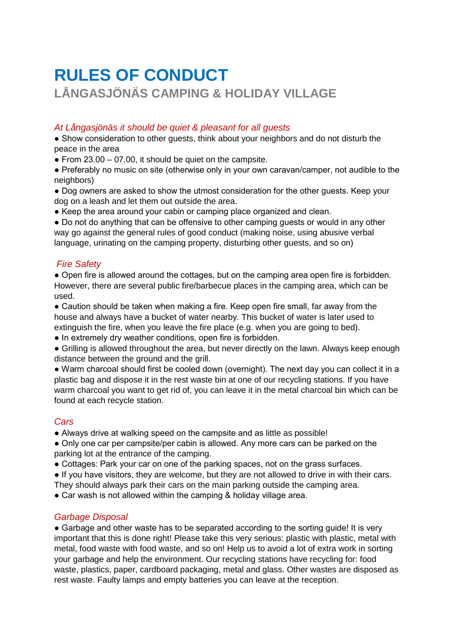# **RULES OF CONDUCT LÅNGASJÖNÄS CAMPING & HOLIDAY VILLAGE**

### *At Långasjönäs it should be quiet & pleasant for all guests*

• Show consideration to other guests, think about your neighbors and do not disturb the peace in the area

 $\bullet$  From 23.00 – 07.00, it should be quiet on the campsite.

● Preferably no music on site (otherwise only in your own caravan/camper, not audible to the neighbors)

● Dog owners are asked to show the utmost consideration for the other guests. Keep your dog on a leash and let them out outside the area.

● Keep the area around your cabin or camping place organized and clean.

• Do not do anything that can be offensive to other camping guests or would in any other way go against the general rules of good conduct (making noise, using abusive verbal language, urinating on the camping property, disturbing other guests, and so on)

### *Fire Safety*

● Open fire is allowed around the cottages, but on the camping area open fire is forbidden. However, there are several public fire/barbecue places in the camping area, which can be used.

● Caution should be taken when making a fire. Keep open fire small, far away from the house and always have a bucket of water nearby. This bucket of water is later used to extinguish the fire, when you leave the fire place (e.g. when you are going to bed).

● In extremely dry weather conditions, open fire is forbidden.

● Grilling is allowed throughout the area, but never directly on the lawn. Always keep enough distance between the ground and the grill.

● Warm charcoal should first be cooled down (overnight). The next day you can collect it in a plastic bag and dispose it in the rest waste bin at one of our recycling stations. If you have warm charcoal you want to get rid of, you can leave it in the metal charcoal bin which can be found at each recycle station.

### *Cars*

• Always drive at walking speed on the campsite and as little as possible!

● Only one car per campsite/per cabin is allowed. Any more cars can be parked on the parking lot at the entrance of the camping.

• Cottages: Park your car on one of the parking spaces, not on the grass surfaces.

● If you have visitors, they are welcome, but they are not allowed to drive in with their cars.

They should always park their cars on the main parking outside the camping area.

• Car wash is not allowed within the camping & holiday village area.

#### *Garbage Disposal*

● Garbage and other waste has to be separated according to the sorting guide! It is very important that this is done right! Please take this very serious: plastic with plastic, metal with metal, food waste with food waste, and so on! Help us to avoid a lot of extra work in sorting your garbage and help the environment. Our recycling stations have recycling for: food waste, plastics, paper, cardboard packaging, metal and glass. Other wastes are disposed as rest waste. Faulty lamps and empty batteries you can leave at the reception.